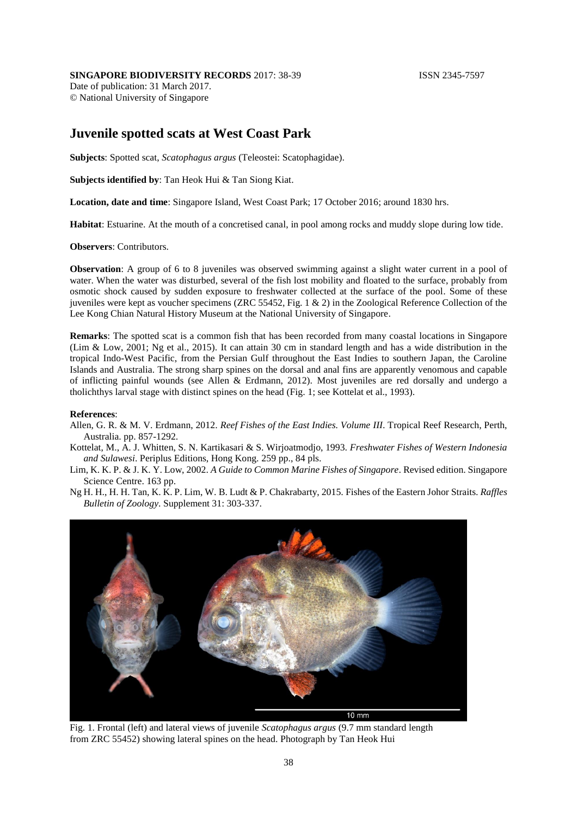## **SINGAPORE BIODIVERSITY RECORDS** 2017: 38-39 **ISSN 2345-7597**

Date of publication: 31 March 2017. © National University of Singapore

## **Juvenile spotted scats at West Coast Park**

**Subjects**: Spotted scat, *Scatophagus argus* (Teleostei: Scatophagidae).

**Subjects identified by**: Tan Heok Hui & Tan Siong Kiat.

**Location, date and time**: Singapore Island, West Coast Park; 17 October 2016; around 1830 hrs.

**Habitat**: Estuarine. At the mouth of a concretised canal, in pool among rocks and muddy slope during low tide.

**Observers**: Contributors.

**Observation**: A group of 6 to 8 juveniles was observed swimming against a slight water current in a pool of water. When the water was disturbed, several of the fish lost mobility and floated to the surface, probably from osmotic shock caused by sudden exposure to freshwater collected at the surface of the pool. Some of these juveniles were kept as voucher specimens (ZRC 55452, Fig. 1 & 2) in the Zoological Reference Collection of the Lee Kong Chian Natural History Museum at the National University of Singapore.

**Remarks**: The spotted scat is a common fish that has been recorded from many coastal locations in Singapore (Lim & Low, 2001; Ng et al., 2015). It can attain 30 cm in standard length and has a wide distribution in the tropical Indo-West Pacific, from the Persian Gulf throughout the East Indies to southern Japan, the Caroline Islands and Australia. The strong sharp spines on the dorsal and anal fins are apparently venomous and capable of inflicting painful wounds (see Allen & Erdmann, 2012). Most juveniles are red dorsally and undergo a tholichthys larval stage with distinct spines on the head (Fig. 1; see Kottelat et al., 1993).

## **References**:

- Allen, G. R. & M. V. Erdmann, 2012. *Reef Fishes of the East Indies. Volume III*. Tropical Reef Research, Perth, Australia. pp. 857-1292.
- Kottelat, M., A. J. Whitten, S. N. Kartikasari & S. Wirjoatmodjo, 1993. *Freshwater Fishes of Western Indonesia and Sulawesi*. Periplus Editions, Hong Kong. 259 pp., 84 pls.

Lim, K. K. P. & J. K. Y. Low, 2002. *A Guide to Common Marine Fishes of Singapore*. Revised edition. Singapore Science Centre. 163 pp.

Ng H. H., H. H. Tan, K. K. P. Lim, W. B. Ludt & P. Chakrabarty, 2015. Fishes of the Eastern Johor Straits. *Raffles Bulletin of Zoology*. Supplement 31: 303-337.



Fig. 1. Frontal (left) and lateral views of juvenile *Scatophagus argus* (9.7 mm standard length from ZRC 55452) showing lateral spines on the head. Photograph by Tan Heok Hui